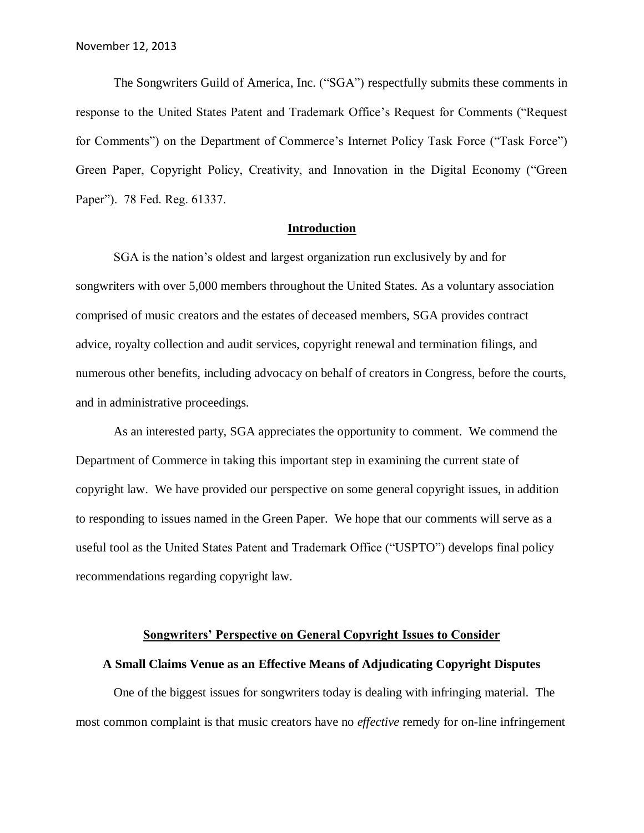The Songwriters Guild of America, Inc. ("SGA") respectfully submits these comments in response to the United States Patent and Trademark Office's Request for Comments ("Request for Comments") on the Department of Commerce's Internet Policy Task Force ("Task Force") Green Paper, Copyright Policy, Creativity, and Innovation in the Digital Economy ("Green Paper"). 78 Fed. Reg. 61337.

# **Introduction**

SGA is the nation's oldest and largest organization run exclusively by and for songwriters with over 5,000 members throughout the United States. As a voluntary association comprised of music creators and the estates of deceased members, SGA provides contract advice, royalty collection and audit services, copyright renewal and termination filings, and numerous other benefits, including advocacy on behalf of creators in Congress, before the courts, and in administrative proceedings.

As an interested party, SGA appreciates the opportunity to comment. We commend the Department of Commerce in taking this important step in examining the current state of copyright law. We have provided our perspective on some general copyright issues, in addition to responding to issues named in the Green Paper. We hope that our comments will serve as a useful tool as the United States Patent and Trademark Office ("USPTO") develops final policy recommendations regarding copyright law.

#### **Songwriters' Perspective on General Copyright Issues to Consider**

### **A Small Claims Venue as an Effective Means of Adjudicating Copyright Disputes**

One of the biggest issues for songwriters today is dealing with infringing material. The most common complaint is that music creators have no *effective* remedy for on-line infringement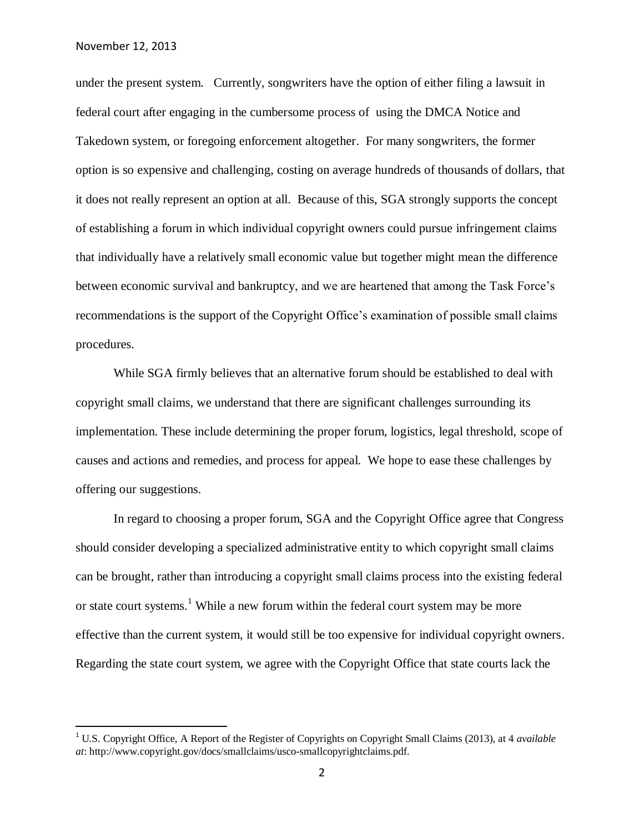$\overline{a}$ 

under the present system. Currently, songwriters have the option of either filing a lawsuit in federal court after engaging in the cumbersome process of using the DMCA Notice and Takedown system, or foregoing enforcement altogether. For many songwriters, the former option is so expensive and challenging, costing on average hundreds of thousands of dollars, that it does not really represent an option at all. Because of this, SGA strongly supports the concept of establishing a forum in which individual copyright owners could pursue infringement claims that individually have a relatively small economic value but together might mean the difference between economic survival and bankruptcy, and we are heartened that among the Task Force's recommendations is the support of the Copyright Office's examination of possible small claims procedures.

While SGA firmly believes that an alternative forum should be established to deal with copyright small claims, we understand that there are significant challenges surrounding its implementation. These include determining the proper forum, logistics, legal threshold, scope of causes and actions and remedies, and process for appeal. We hope to ease these challenges by offering our suggestions.

In regard to choosing a proper forum, SGA and the Copyright Office agree that Congress should consider developing a specialized administrative entity to which copyright small claims can be brought, rather than introducing a copyright small claims process into the existing federal or state court systems.<sup>1</sup> While a new forum within the federal court system may be more effective than the current system, it would still be too expensive for individual copyright owners. Regarding the state court system, we agree with the Copyright Office that state courts lack the

<sup>1</sup> U.S. Copyright Office, A Report of the Register of Copyrights on Copyright Small Claims (2013), at 4 *available at*: http://www.copyright.gov/docs/smallclaims/usco-smallcopyrightclaims.pdf.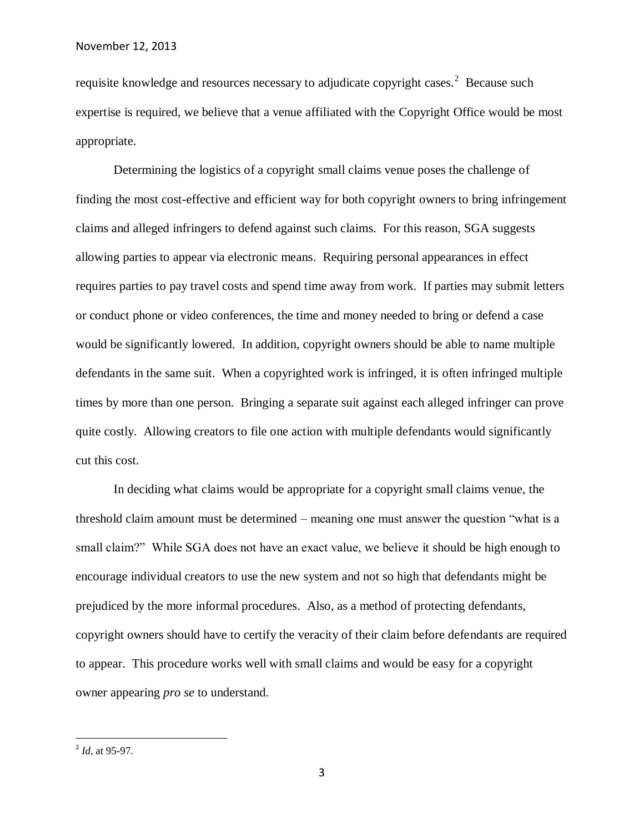requisite knowledge and resources necessary to adjudicate copyright cases.<sup>2</sup> Because such expertise is required, we believe that a venue affiliated with the Copyright Office would be most appropriate.

Determining the logistics of a copyright small claims venue poses the challenge of finding the most cost-effective and efficient way for both copyright owners to bring infringement claims and alleged infringers to defend against such claims. For this reason, SGA suggests allowing parties to appear via electronic means. Requiring personal appearances in effect requires parties to pay travel costs and spend time away from work. If parties may submit letters or conduct phone or video conferences, the time and money needed to bring or defend a case would be significantly lowered. In addition, copyright owners should be able to name multiple defendants in the same suit. When a copyrighted work is infringed, it is often infringed multiple times by more than one person. Bringing a separate suit against each alleged infringer can prove quite costly. Allowing creators to file one action with multiple defendants would significantly cut this cost.

In deciding what claims would be appropriate for a copyright small claims venue, the threshold claim amount must be determined – meaning one must answer the question "what is a small claim?" While SGA does not have an exact value, we believe it should be high enough to encourage individual creators to use the new system and not so high that defendants might be prejudiced by the more informal procedures. Also, as a method of protecting defendants, copyright owners should have to certify the veracity of their claim before defendants are required to appear. This procedure works well with small claims and would be easy for a copyright owner appearing *pro se* to understand.

 2 *Id*, at 95-97.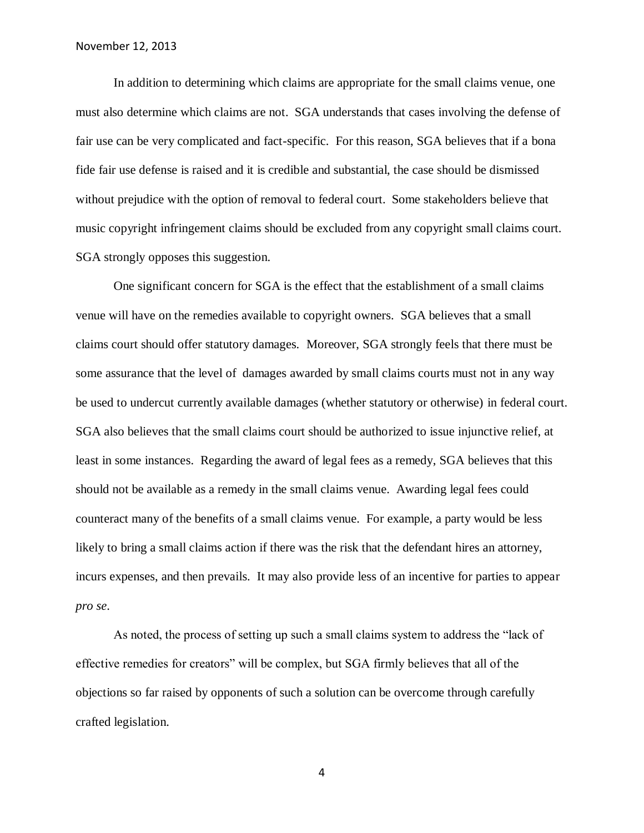In addition to determining which claims are appropriate for the small claims venue, one must also determine which claims are not. SGA understands that cases involving the defense of fair use can be very complicated and fact-specific. For this reason, SGA believes that if a bona fide fair use defense is raised and it is credible and substantial, the case should be dismissed without prejudice with the option of removal to federal court. Some stakeholders believe that music copyright infringement claims should be excluded from any copyright small claims court. SGA strongly opposes this suggestion.

One significant concern for SGA is the effect that the establishment of a small claims venue will have on the remedies available to copyright owners. SGA believes that a small claims court should offer statutory damages. Moreover, SGA strongly feels that there must be some assurance that the level of damages awarded by small claims courts must not in any way be used to undercut currently available damages (whether statutory or otherwise) in federal court. SGA also believes that the small claims court should be authorized to issue injunctive relief, at least in some instances. Regarding the award of legal fees as a remedy, SGA believes that this should not be available as a remedy in the small claims venue. Awarding legal fees could counteract many of the benefits of a small claims venue. For example, a party would be less likely to bring a small claims action if there was the risk that the defendant hires an attorney, incurs expenses, and then prevails. It may also provide less of an incentive for parties to appear *pro se*.

As noted, the process of setting up such a small claims system to address the "lack of effective remedies for creators" will be complex, but SGA firmly believes that all of the objections so far raised by opponents of such a solution can be overcome through carefully crafted legislation.

4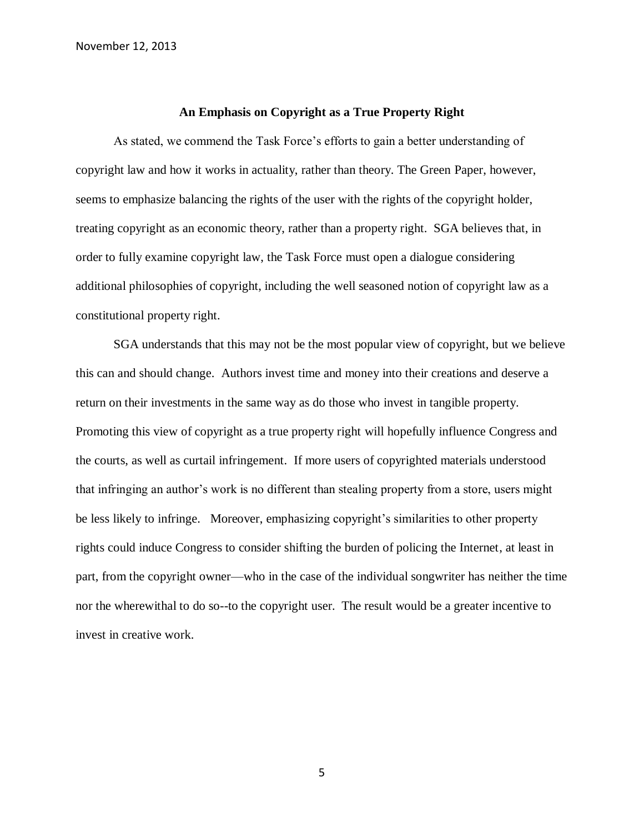## **An Emphasis on Copyright as a True Property Right**

As stated, we commend the Task Force's efforts to gain a better understanding of copyright law and how it works in actuality, rather than theory. The Green Paper, however, seems to emphasize balancing the rights of the user with the rights of the copyright holder, treating copyright as an economic theory, rather than a property right. SGA believes that, in order to fully examine copyright law, the Task Force must open a dialogue considering additional philosophies of copyright, including the well seasoned notion of copyright law as a constitutional property right.

SGA understands that this may not be the most popular view of copyright, but we believe this can and should change. Authors invest time and money into their creations and deserve a return on their investments in the same way as do those who invest in tangible property. Promoting this view of copyright as a true property right will hopefully influence Congress and the courts, as well as curtail infringement. If more users of copyrighted materials understood that infringing an author's work is no different than stealing property from a store, users might be less likely to infringe. Moreover, emphasizing copyright's similarities to other property rights could induce Congress to consider shifting the burden of policing the Internet, at least in part, from the copyright owner—who in the case of the individual songwriter has neither the time nor the wherewithal to do so--to the copyright user. The result would be a greater incentive to invest in creative work.

5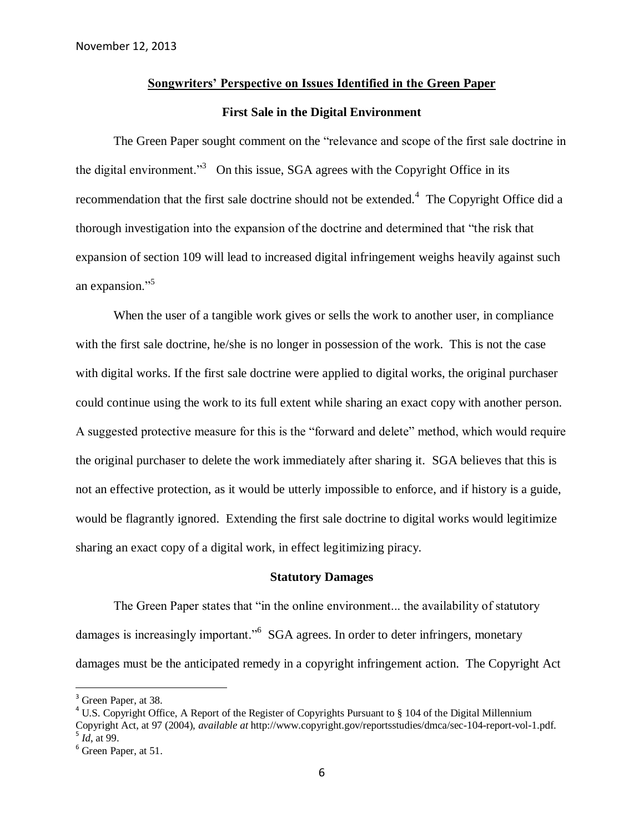## **Songwriters' Perspective on Issues Identified in the Green Paper**

### **First Sale in the Digital Environment**

The Green Paper sought comment on the "relevance and scope of the first sale doctrine in the digital environment."<sup>3</sup> On this issue, SGA agrees with the Copyright Office in its recommendation that the first sale doctrine should not be extended.<sup>4</sup> The Copyright Office did a thorough investigation into the expansion of the doctrine and determined that "the risk that expansion of section 109 will lead to increased digital infringement weighs heavily against such an expansion."<sup>5</sup>

When the user of a tangible work gives or sells the work to another user, in compliance with the first sale doctrine, he/she is no longer in possession of the work. This is not the case with digital works. If the first sale doctrine were applied to digital works, the original purchaser could continue using the work to its full extent while sharing an exact copy with another person. A suggested protective measure for this is the "forward and delete" method, which would require the original purchaser to delete the work immediately after sharing it. SGA believes that this is not an effective protection, as it would be utterly impossible to enforce, and if history is a guide, would be flagrantly ignored. Extending the first sale doctrine to digital works would legitimize sharing an exact copy of a digital work, in effect legitimizing piracy.

#### **Statutory Damages**

The Green Paper states that "in the online environment... the availability of statutory damages is increasingly important."<sup>6</sup> SGA agrees. In order to deter infringers, monetary damages must be the anticipated remedy in a copyright infringement action. The Copyright Act

 $\overline{a}$ 

<sup>&</sup>lt;sup>3</sup> Green Paper, at 38.

<sup>&</sup>lt;sup>4</sup> U.S. Copyright Office, A Report of the Register of Copyrights Pursuant to  $\S$  104 of the Digital Millennium Copyright Act, at 97 (2004), *available at* http://www.copyright.gov/reportsstudies/dmca/sec-104-report-vol-1.pdf. 5 *Id*, at 99.

 $<sup>6</sup>$  Green Paper, at 51.</sup>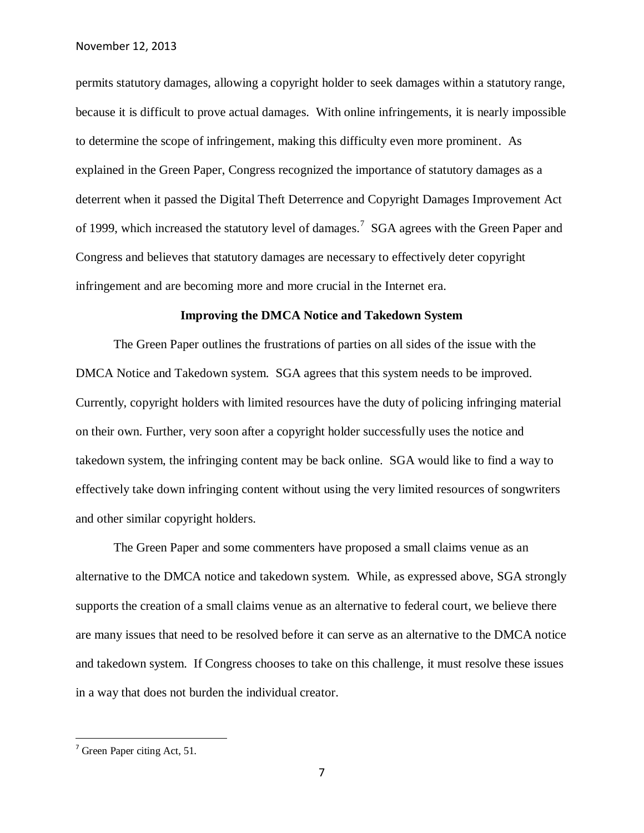permits statutory damages, allowing a copyright holder to seek damages within a statutory range, because it is difficult to prove actual damages. With online infringements, it is nearly impossible to determine the scope of infringement, making this difficulty even more prominent. As explained in the Green Paper, Congress recognized the importance of statutory damages as a deterrent when it passed the Digital Theft Deterrence and Copyright Damages Improvement Act of 1999, which increased the statutory level of damages.<sup>7</sup> SGA agrees with the Green Paper and Congress and believes that statutory damages are necessary to effectively deter copyright infringement and are becoming more and more crucial in the Internet era.

### **Improving the DMCA Notice and Takedown System**

The Green Paper outlines the frustrations of parties on all sides of the issue with the DMCA Notice and Takedown system. SGA agrees that this system needs to be improved. Currently, copyright holders with limited resources have the duty of policing infringing material on their own. Further, very soon after a copyright holder successfully uses the notice and takedown system, the infringing content may be back online. SGA would like to find a way to effectively take down infringing content without using the very limited resources of songwriters and other similar copyright holders.

The Green Paper and some commenters have proposed a small claims venue as an alternative to the DMCA notice and takedown system. While, as expressed above, SGA strongly supports the creation of a small claims venue as an alternative to federal court, we believe there are many issues that need to be resolved before it can serve as an alternative to the DMCA notice and takedown system. If Congress chooses to take on this challenge, it must resolve these issues in a way that does not burden the individual creator.

 $\overline{a}$ 

 $<sup>7</sup>$  Green Paper citing Act, 51.</sup>